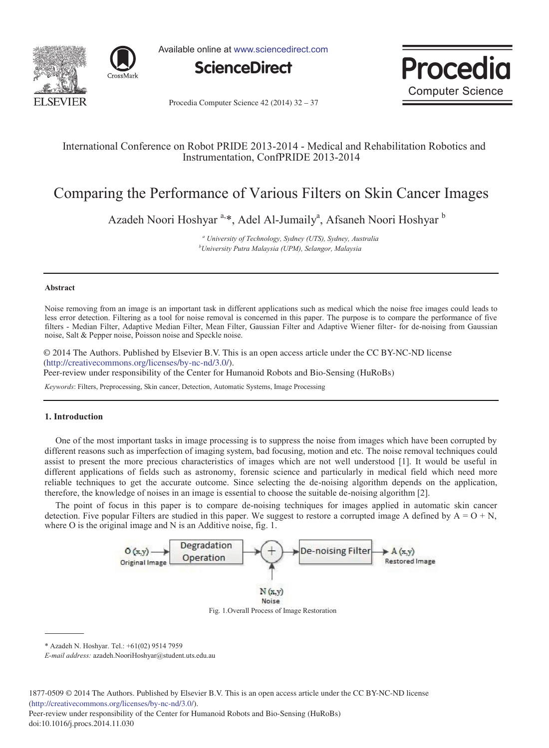



Available online at www.sciencedirect.com





Procedia Computer Science 42 (2014) 32 - 37

# International Conference on Robot PRIDE 2013-2014 - Medical and Rehabilitation Robotics and Instrumentation, ConfPRIDE 2013-2014

# Comparing the Performance of Various Filters on Skin Cancer Images

Azadeh Noori Hoshyar<sup>a,\*</sup>, Adel Al-Jumaily<sup>a</sup>, Afsaneh Noori Hoshyar<sup>b</sup>

*a University of Technology, Sydney (UTS), Sydney, Australia b University Putra Malaysia (UPM), Selangor, Malaysia*

#### **Abstract**

Noise removing from an image is an important task in different applications such as medical which the noise free images could leads to less error detection. Filtering as a tool for noise removal is concerned in this paper. The purpose is to compare the performance of five filters - Median Filter, Adaptive Median Filter, Mean Filter, Gaussian Filter and Adaptive Wiener filter- for de-noising from Gaussian noise, Salt & Pepper noise, Poisson noise and Speckle noise.

© 2014 The Authors. Published by Elsevier B.V. (http://creativecommons.org/licenses/by-nc-nd/3.0/). Peer-review under responsibility of the Center for Humanoid Robots and Bio-Sensing (HuRoBs). Peer-review under responsibility of the Center for Humanoid Robots and Bio-Sensing (HuRoBs)© 2014 The Authors. Published by Elsevier B.V. This is an open access article under the CC BY-NC-ND license

*Keywords*: Filters, Preprocessing, Skin cancer, Detection, Automatic Systems, Image Processing

#### **1. Introduction**

One of the most important tasks in image processing is to suppress the noise from images which have been corrupted by different reasons such as imperfection of imaging system, bad focusing, motion and etc. The noise removal techniques could assist to present the more precious characteristics of images which are not well understood [1]. It would be useful in different applications of fields such as astronomy, forensic science and particularly in medical field which need more reliable techniques to get the accurate outcome. Since selecting the de-noising algorithm depends on the application, therefore, the knowledge of noises in an image is essential to choose the suitable de-noising algorithm [2].

The point of focus in this paper is to compare de-noising techniques for images applied in automatic skin cancer detection. Five popular Filters are studied in this paper. We suggest to restore a corrupted image A defined by  $A = O + N$ , where O is the original image and N is an Additive noise, fig. 1.



Fig. 1.Overall Process of Image Restoration

\* Azadeh N. Hoshyar. Tel.: +61(02) 9514 7959

*E-mail address:* azadeh.NooriHoshyar@student.uts.edu.au

Peer-review under responsibility of the Center for Humanoid Robots and Bio-Sensing (HuRoBs) doi: 10.1016/j.procs.2014.11.030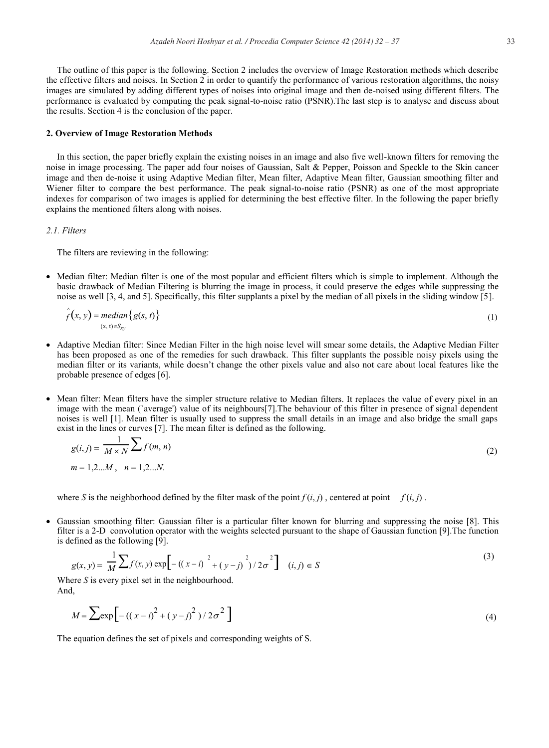The outline of this paper is the following. Section 2 includes the overview of Image Restoration methods which describe the effective filters and noises. In Section 2 in order to quantify the performance of various restoration algorithms, the noisy images are simulated by adding different types of noises into original image and then de-noised using different filters. The performance is evaluated by computing the peak signal-to-noise ratio (PSNR).The last step is to analyse and discuss about the results. Section 4 is the conclusion of the paper.

### **2. Overview of Image Restoration Methods**

In this section, the paper briefly explain the existing noises in an image and also five well-known filters for removing the noise in image processing. The paper add four noises of Gaussian, Salt & Pepper, Poisson and Speckle to the Skin cancer image and then de-noise it using Adaptive Median filter, Mean filter, Adaptive Mean filter, Gaussian smoothing filter and Wiener filter to compare the best performance. The peak signal-to-noise ratio (PSNR) as one of the most appropriate indexes for comparison of two images is applied for determining the best effective filter. In the following the paper briefly explains the mentioned filters along with noises.

# *2.1. Filters*

The filters are reviewing in the following:

• Median filter: Median filter is one of the most popular and efficient filters which is simple to implement. Although the basic drawback of Median Filtering is blurring the image in process, it could preserve the edges while suppressing the noise as well [3, 4, and 5]. Specifically, this filter supplants a pixel by the median of all pixels in the sliding window [5].

$$
\hat{f}(x, y) = median\{g(s, t)\}\tag{1}
$$

- x Adaptive Median filter: Since Median Filter in the high noise level will smear some details, the Adaptive Median Filter has been proposed as one of the remedies for such drawback. This filter supplants the possible noisy pixels using the median filter or its variants, while doesn't change the other pixels value and also not care about local features like the probable presence of edges [6].
- Mean filter: Mean filters have the simpler structure relative to Median filters. It replaces the value of every pixel in an image with the mean (`average') value of its neighbours[7].The behaviour of this filter in presence of signal dependent noises is well [1]. Mean filter is usually used to suppress the small details in an image and also bridge the small gaps exist in the lines or curves [7]. The mean filter is defined as the following.

$$
g(i,j) = \frac{1}{M \times N} \sum f(m,n)
$$
  
(2)  
 $m = 1,2...M, \quad n = 1,2...N.$ 

where *S* is the neighborhood defined by the filter mask of the point  $f(i, j)$ , centered at point  $f(i, j)$ .

Gaussian smoothing filter: Gaussian filter is a particular filter known for blurring and suppressing the noise [8]. This filter is a 2-D convolution operator with the weights selected pursuant to the shape of Gaussian function [9].The function is defined as the following [9].

$$
g(x, y) = \frac{1}{M} \sum f(x, y) \exp\left[-((x - i)^{-2} + (y - j)^{-2})/2\sigma^{2}\right] \quad (i, j) \in S
$$
 (3)

Where *S* is every pixel set in the neighbourhood. And,

$$
M = \sum \exp\left[-\left((x-i)^2 + (y-j)^2\right)/2\sigma^2\right]
$$
 (4)

The equation defines the set of pixels and corresponding weights of S.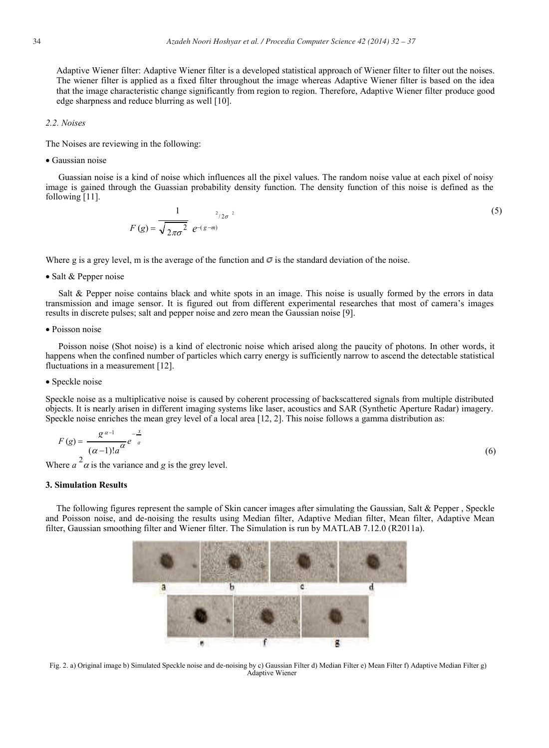Adaptive Wiener filter: Adaptive Wiener filter is a developed statistical approach of Wiener filter to filter out the noises. The wiener filter is applied as a fixed filter throughout the image whereas Adaptive Wiener filter is based on the idea that the image characteristic change significantly from region to region. Therefore, Adaptive Wiener filter produce good edge sharpness and reduce blurring as well [10].

#### *2.2. Noises*

The Noises are reviewing in the following:

 $\bullet$  Gaussian noise

Guassian noise is a kind of noise which influences all the pixel values. The random noise value at each pixel of noisy image is gained through the Guassian probability density function. The density function of this noise is defined as the following [11].

$$
F(g) = \frac{1}{\sqrt{2\pi\sigma^2}} e^{-(g-m)} \tag{5}
$$

Where g is a grey level, m is the average of the function and  $\sigma$  is the standard deviation of the noise.

• Salt & Pepper noise

Salt & Pepper noise contains black and white spots in an image. This noise is usually formed by the errors in data transmission and image sensor. It is figured out from different experimental researches that most of camera's images results in discrete pulses; salt and pepper noise and zero mean the Gaussian noise [9].

 $\bullet$  Poisson noise

Poisson noise (Shot noise) is a kind of electronic noise which arised along the paucity of photons. In other words, it happens when the confined number of particles which carry energy is sufficiently narrow to ascend the detectable statistical fluctuations in a measurement [12].

#### • Speckle noise

Speckle noise as a multiplicative noise is caused by coherent processing of backscattered signals from multiple distributed objects. It is nearly arisen in different imaging systems like laser, acoustics and SAR (Synthetic Aperture Radar) imagery. Speckle noise enriches the mean grey level of a local area [12, 2]. This noise follows a gamma distribution as:

$$
F(g) = \frac{g^{\alpha - 1}}{(\alpha - 1)! a^{\alpha}} e^{-\frac{x}{a}}
$$
\n
$$
(6)
$$

Where  $a^2 \alpha$  is the variance and *g* is the grey level.

#### **3. Simulation Results**

The following figures represent the sample of Skin cancer images after simulating the Gaussian, Salt & Pepper , Speckle and Poisson noise, and de-noising the results using Median filter, Adaptive Median filter, Mean filter, Adaptive Mean filter, Gaussian smoothing filter and Wiener filter. The Simulation is run by MATLAB 7.12.0 (R2011a).



Fig. 2. a) Original image b) Simulated Speckle noise and de-noising by c) Gaussian Filter d) Median Filter e) Mean Filter f) Adaptive Median Filter g) Adaptive Wiener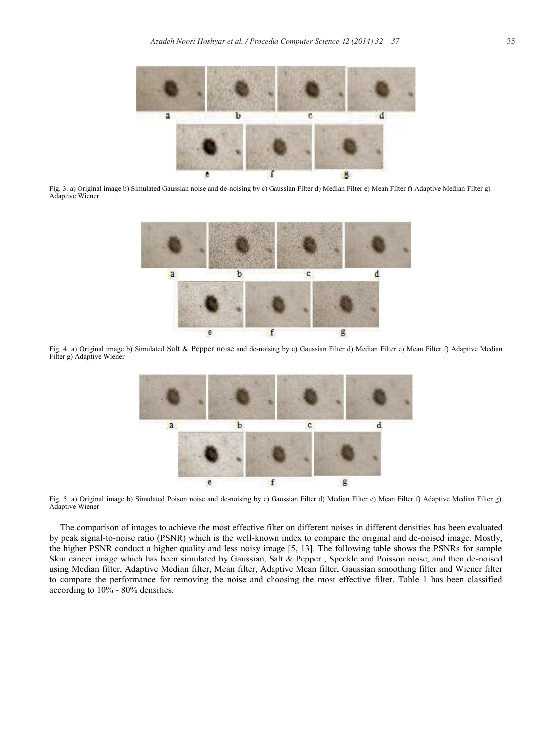

Fig. 3. a) Original image b) Simulated Gaussian noise and de-noising by c) Gaussian Filter d) Median Filter e) Mean Filter f) Adaptive Median Filter g) Adaptive Wiener



Fig. 4. a) Original image b) Simulated Salt & Pepper noise and de-noising by c) Gaussian Filter d) Median Filter e) Mean Filter f) Adaptive Median Filter g) Adaptive Wiener



Fig. 5. a) Original image b) Simulated Poison noise and de-noising by c) Gaussian Filter d) Median Filter e) Mean Filter f) Adaptive Median Filter g) Adaptive Wiener

The comparison of images to achieve the most effective filter on different noises in different densities has been evaluated by peak signal-to-noise ratio (PSNR) which is the well-known index to compare the original and de-noised image. Mostly, the higher PSNR conduct a higher quality and less noisy image [5, 13]. The following table shows the PSNRs for sample Skin cancer image which has been simulated by Gaussian, Salt & Pepper , Speckle and Poisson noise, and then de-noised using Median filter, Adaptive Median filter, Mean filter, Adaptive Mean filter, Gaussian smoothing filter and Wiener filter to compare the performance for removing the noise and choosing the most effective filter. Table 1 has been classified according to 10% - 80% densities.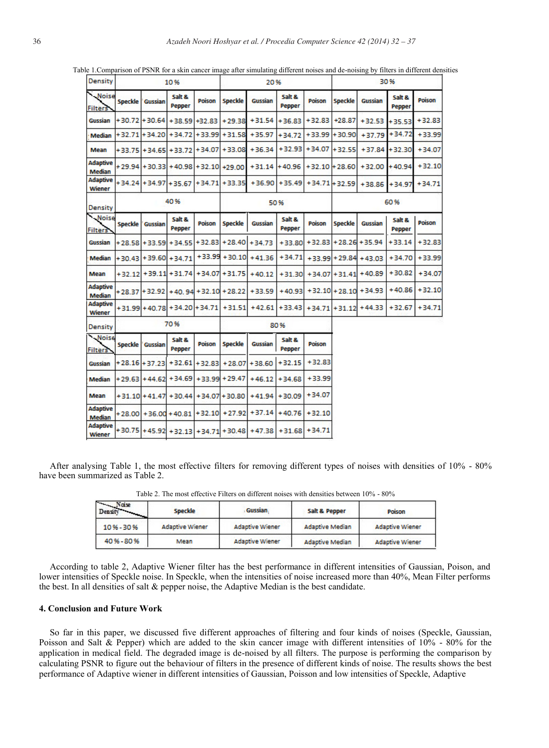| Density                          |                |                  | 10%                            |                 | 20%              |                                           |                  |                  | 30%              |                  |                  |               |
|----------------------------------|----------------|------------------|--------------------------------|-----------------|------------------|-------------------------------------------|------------------|------------------|------------------|------------------|------------------|---------------|
| Noise<br><b>Filters</b>          | <b>Speckle</b> | Gussian          | Salt &<br>Pepper               | Poison          | <b>Speckle</b>   | Gussian                                   | Salt &<br>Pepper | Poison           | <b>Speckle</b>   | Gussian          | Salt &<br>Pepper | Poison        |
| Gussian                          |                | $+30.72 + 30.64$ | $+38.59$                       | $+32.83$        | $+29.38$         | $+31.54$                                  | +36.83           | $+32.83$         | $+28.87$         | $+32.53$         | $+35.53$         | $+32.83$      |
| Median                           |                | $+32.71 + 34.20$ | $+34.72$                       | $+33.99$        | $+31.58$         | $+35.97$                                  | $+34.72$         | $+33.99$         | $+30.90$         | $+37.79$         | $+34.72$         | $+33.99$      |
| Mean                             |                |                  | +33.75 + 34.65 + 33.72         | $+34.07$        | $+33.08$         | $+36.34$                                  | $+32.93$         | $+34.07$         | $+32.55$         | $+37.84$         | $+32.30$         | $+34.07$      |
| <b>Adaptive</b><br><b>Median</b> |                |                  | +29.94 + 30.33 + 40.98         | $+32.10 +29.00$ |                  | $+31.14$                                  | $+40.96$         | $+32.10 + 28.60$ |                  | $+32.00$         | $+40.94$         | $+32.10$      |
| <b>Adaptive</b><br>Wiener        |                |                  | $+34.24$ + 34.97 + 35.67       | $+34.71$        | $+33.35$         | $+36.90$                                  | $+35.49$         | $+34.71 + 32.59$ |                  | $+38.86$         | $+34.97$         | $+34.71$      |
| Density                          | 40%            |                  |                                | 50%             |                  |                                           |                  | 60%              |                  |                  |                  |               |
| Noise<br><b>Filters</b>          | <b>Speckle</b> | Gussian          | Salt &<br>Pepper               | <b>Poison</b>   | <b>Speckle</b>   | Gussian                                   | Salt &<br>Pepper | <b>Poison</b>    | <b>Speckle</b>   | Gussian          | Salt &<br>Pepper | <b>Poison</b> |
| Gussian                          | $+28.58$       | $+33.59$         | $+34.55$                       | $+32.83$        | $+28.40$         | $+34.73$                                  | $+33.80$         | $+32.83$         |                  | $+28.26 + 35.94$ | $+33.14$         | $+32.83$      |
| Median                           |                | $+30.43 + 39.60$ | $+34.71$                       | $+33.99$        | $+30.10$         | $+41.36$                                  | $+34.71$         |                  | $+33.99 + 29.84$ | $+43.03$         | $+34.70$         | $+33.99$      |
| Mean                             | $+32.12$       |                  | $+39.11 + 31.74$               | $+34.07$        | $+31.75$         | $+40.12$                                  | $+31.30$         |                  | $+34.07 + 31.41$ | $+40.89$         | $+30.82$         | $+34.07$      |
| Adaptive<br>Median               |                | $+28.37 + 32.92$ | $+40.94$                       | $+32.10$        | $+28.22$         | +33.59                                    | $+40.93$         |                  | $+32.10 + 28.10$ | $+34.93$         | $+40.86$         | $+32.10$      |
| <b>Adaptive</b><br><b>Wiener</b> |                |                  | +31.99 + 40.78 + 34.20 + 34.71 |                 | $+31.51$         | $+42.61$                                  | $+33.43$         |                  | $+34.71 + 31.12$ | $+44.33$         | $+32.67$         | $+34.71$      |
| <b>Density</b>                   |                |                  | 70%                            |                 |                  |                                           | 80%              |                  |                  |                  |                  |               |
| Noise<br><b>Filters</b>          | <b>Speckle</b> | Gussian          | Salt &<br>Pepper               | Poison          | <b>Speckle</b>   | Gussian                                   | Salt &<br>Pepper | Poison           |                  |                  |                  |               |
| Gussian                          |                | $+28.16 + 37.23$ | $+32.61$                       | $+32.83$        | $+28.07$         | $+38.60$                                  | $+32.15$         | $+32.83$         |                  |                  |                  |               |
| Median                           |                | $+29.63 + 44.62$ | $+34.69$                       | $+33.99$        | $+29.47$         | $+46.12$                                  | $+34.68$         | $+33.99$         |                  |                  |                  |               |
| <b>Mean</b>                      |                |                  | +31.10 + 41.47 + 30.44         |                 | $+34.07 + 30.80$ | $+41.94$                                  | $+30.09$         | $+34.07$         |                  |                  |                  |               |
| Adaptive<br>Median               |                |                  | $+28.00 + 36.00 + 40.81$       | $+32.10$        | $+27.92$         | $+37.14$                                  | $+40.76$         | $+32.10$         |                  |                  |                  |               |
| <b>Adaptive</b><br>Wiener        |                |                  |                                |                 |                  | +30.75 +45.92 +32.13 +34.71 +30.48 +47.38 | $+31.68$         | $+34.71$         |                  |                  |                  |               |

Table 1.Comparison of PSNR for a skin cancer image after simulating different noises and de-noising by filters in different densities

After analysing Table 1, the most effective filters for removing different types of noises with densities of 10% - 80% have been summarized as Table 2.

| <b>Naise</b><br>Densi | <b>Speckle</b>         | <b>Gussian</b>         | Salt & Pepper          | Poison                 |  |
|-----------------------|------------------------|------------------------|------------------------|------------------------|--|
| 10%-30%               | <b>Adaptive Wiener</b> | <b>Adaptive Wiener</b> | <b>Adaptive Median</b> | <b>Adaptive Wiener</b> |  |
| 40 % - 80 %           | Mean                   | <b>Adaptive Wiener</b> | <b>Adaptive Median</b> | <b>Adaptive Wiener</b> |  |

Table 2. The most effective Filters on different noises with densities between 10% - 80%

According to table 2, Adaptive Wiener filter has the best performance in different intensities of Gaussian, Poison, and lower intensities of Speckle noise. In Speckle, when the intensities of noise increased more than 40%, Mean Filter performs the best. In all densities of salt & pepper noise, the Adaptive Median is the best candidate.

#### **4. Conclusion and Future Work**

So far in this paper, we discussed five different approaches of filtering and four kinds of noises (Speckle, Gaussian, Poisson and Salt & Pepper) which are added to the skin cancer image with different intensities of 10% - 80% for the application in medical field. The degraded image is de-noised by all filters. The purpose is performing the comparison by calculating PSNR to figure out the behaviour of filters in the presence of different kinds of noise. The results shows the best performance of Adaptive wiener in different intensities of Gaussian, Poisson and low intensities of Speckle, Adaptive